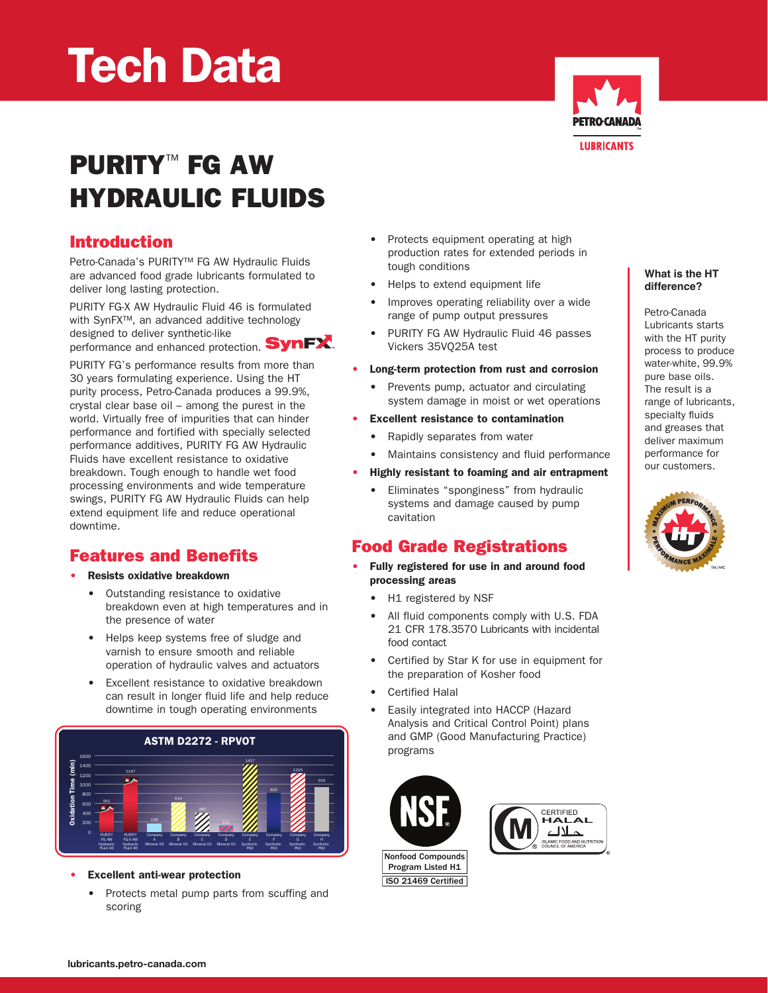# Tech Data



# PURITY<sup>™</sup> FG AW Hydraulic Fluids

#### Introduction

Petro-Canada's PURITY™ FG AW Hydraulic Fluids are advanced food grade lubricants formulated to deliver long lasting protection.

PURITY FG-X AW Hydraulic Fluid 46 is formulated with SynFX™, an advanced additive technology designed to deliver synthetic-like performance and enhanced protection. **SynFX**.

PURITY FG's performance results from more than 30 years formulating experience. Using the HT purity process, Petro-Canada produces a 99.9%, crystal clear base oil – among the purest in the world. Virtually free of impurities that can hinder performance and fortified with specially selected performance additives, PURITY FG AW Hydraulic Fluids have excellent resistance to oxidative breakdown. Tough enough to handle wet food processing environments and wide temperature swings, PURITY FG AW Hydraulic Fluids can help extend equipment life and reduce operational downtime.

#### Features and Benefits

- Resists oxidative breakdown
	- Outstanding resistance to oxidative breakdown even at high temperatures and in the presence of water
	- • Helps keep systems free of sludge and varnish to ensure smooth and reliable operation of hydraulic valves and actuators
	- • Excellent resistance to oxidative breakdown can result in longer fluid life and help reduce downtime in tough operating environments



**Excellent anti-wear protection** 

• Protects metal pump parts from scuffing and scoring

- • Protects equipment operating at high production rates for extended periods in tough conditions
- Helps to extend equipment life
- Improves operating reliability over a wide range of pump output pressures
- • PURITY FG AW Hydraulic Fluid 46 passes Vickers 35VQ25A test

#### • Long-term protection from rust and corrosion

- Prevents pump, actuator and circulating system damage in moist or wet operations
- • Excellent resistance to contamination
	- Rapidly separates from water
	- Maintains consistency and fluid performance

#### Highly resistant to foaming and air entrapment

• Eliminates "sponginess" from hydraulic systems and damage caused by pump cavitation

## Food Grade Registrations

- Fully registered for use in and around food processing areas
	- H1 registered by NSF
	- All fluid components comply with U.S. FDA 21 CFR 178.3570 Lubricants with incidental food contact
	- • Certified by Star K for use in equipment for the preparation of Kosher food
	- **Certified Halal**
	- • Easily integrated into HACCP (Hazard Analysis and Critical Control Point) plans and GMP (Good Manufacturing Practice) programs







#### **What is the HT difference?**

Petro-Canada Lubricants starts with the HT purity process to produce water-white, 99.9% pure base oils. The result is a range of lubricants, specialty fluids and greases that deliver maximum performance for our customers.